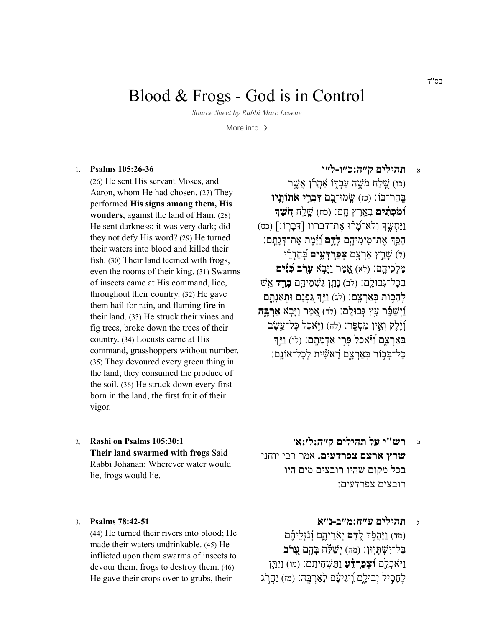# Blood & Frogs - God is in Control

Source Sheet by Rabbi Marc Levene

More info  $\rightarrow$ 

#### Psalms 105:26-36  $1$

(26) He sent His servant Moses, and Aaron, whom He had chosen. (27) They performed His signs among them, His wonders, against the land of Ham. (28) He sent darkness; it was very dark; did they not defy His word? (29) He turned their waters into blood and killed their fish. (30) Their land teemed with frogs, even the rooms of their king. (31) Swarms of insects came at His command, lice, throughout their country. (32) He gave them hail for rain, and flaming fire in their land. (33) He struck their vines and fig trees, broke down the trees of their country. (34) Locusts came at His command, grasshoppers without number. (35) They devoured every green thing in the land; they consumed the produce of the soil. (36) He struck down every firstborn in the land, the first fruit of their vigor.

תהילים קייה:כייו-לייו  $\mathbf{x}$ 

(כו) שַׁלַח מֹשֵׁה עַבְדּוֹ אֲהָרוֹ אֲשֵׁר בְחַר־בָּוֹ: (כז) שמוּ־בִם דָּבְרֵי אתוֹתְיוּ <mark>וֿמֹפְתִים</mark> בְּאֲרֶץ חֵם: (כח) שֲלֵח **חִשְׁדִּ** וַיַּחְשֶׁךְ וְלְאֹ־מֲרֹוּ אֱת־דברוו [דְּבַרְוֹ:] (כט) הפר את־מימיהם לדם וומת את־דגתם: ול) שרץ ארצם **צפרדעים** בחדרי מַלְכֵיהֱם: (לֹא) אֲמַר וַיַּבְאׁ עַרָּב בְּנִּיִּם בְּכַל־גְּבוּלֵם: (לִב) נַתֲן גִּשְׁמֵיהֵם בָּרֵד אֵשׁ לֶהָבְוֹת בְּאַרְצֵם: (לג) וַיֵּךְ גֵּפְנָם וּתְאֶנָתָם ו*ַיִּשׁבֶּר עֵץ גִּבוּלֵם: (לד) אֲמַר וַיַּבְא* אַרְ*בֵּה* ∫יֵׂלֵק וְאֵין מִסְפֵר: (לה) וַיְּאֹכַל כַּל־עֱשֶׂב בְּאַרְצָם וַיֹּאֹכָל פְּרֵי אֲדָמְתָם: (לו) וַיַּדְ כּל־בִּכְוֹר בַּאֲרְצָם רָאשִׂית לְכל־אוֹנָם:

Rashi on Psalms 105:30:1  $\mathcal{D}$ Their land swarmed with frogs Said Rabbi Johanan: Wherever water would lie, frogs would lie.

#### Psalms 78:42-51  $3.$

(44) He turned their rivers into blood; He made their waters undrinkable. (45) He inflicted upon them swarms of insects to devour them, frogs to destroy them. (46) He gave their crops over to grubs, their

- רש"י על תהילים ק״ה:ל׳:א׳ <u>د.</u> שרץ ארצם צפרדעים. אמר רבי יוחנן בכל מקום שהיו רובצים מים היו רובצים צפרדעים:
- תהילים ע"ח:מ"ב-נ"א  $\mathbf{r}$ (מד) וַיַּהֲפְׂךָ לֵדָם יְאֹרֵיהֶם וְנֹזְלֵיהֶם בַּל־יָשָׁתִּיְוּן: (מה) יִשָׁלָּה בּהֵם **עַרֹּב** וַיֹּאֲכָלֶם **וּצִפְרִדָּעַ** וַתַּשְׁחָיתֵם: (מו) וַיִּתֵן לַחְסִיל יְבוּלִם וַיגִיעַם לאַרְבֵּה: (מז) יַהֲרֹג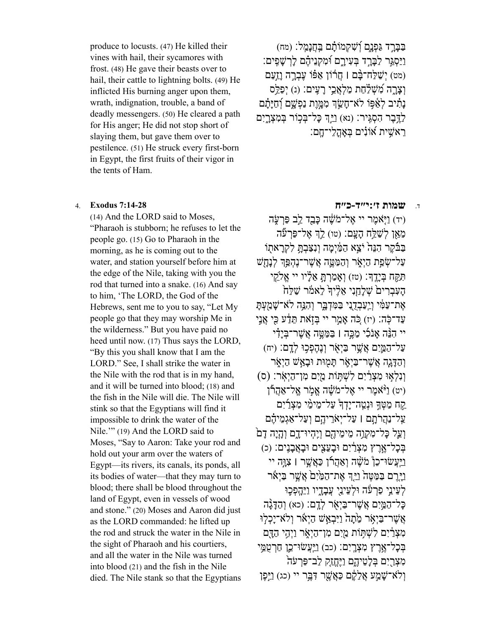produce to locusts. (47) He killed their vines with hail, their sycamores with frost. (48) He gave their beasts over to hail, their cattle to lightning bolts. (49) He inflicted His burning anger upon them, wrath, indignation, trouble, a band of deadly messengers. (50) He cleared a path for His anger; He did not stop short of slaying them, but gave them over to pestilence. (51) He struck every first-born in Egypt, the first fruits of their vigor in the tents of Ham.

(14) And the LORD said to Moses, "Pharaoh is stubborn; he refuses to let the people go. (15) Go to Pharaoh in the morning, as he is coming out to the water, and station yourself before him at the edge of the Nile, taking with you the rod that turned into a snake. (16) And say to him, 'The LORD, the God of the Hebrews, sent me to you to say, "Let My people go that they may worship Me in the wilderness." But you have paid no heed until now. (17) Thus says the LORD, "By this you shall know that I am the LORD." See, I shall strike the water in the Nile with the rod that is in my hand, and it will be turned into blood; (18) and the fish in the Nile will die. The Nile will stink so that the Egyptians will find it impossible to drink the water of the Nile.'" (19) And the LORD said to Moses, "Say to Aaron: Take your rod and hold out your arm over the waters of Egypt—its rivers, its canals, its ponds, all its bodies of water—that they may turn to blood; there shall be blood throughout the land of Egypt, even in vessels of wood and stone." (20) Moses and Aaron did just as the LORD commanded: he lifted up the rod and struck the water in the Nile in the sight of Pharaoh and his courtiers, and all the water in the Nile was turned into blood (21) and the fish in the Nile died. The Nile stank so that the Egyptians

ַבְּבָּרֵד גַּפְנָם וְׁשָׁקָמוֹתָם בַּחֲנַמֵּל: (מח) ַוַיַּסְגֵּר לַבֲרֵד בְּעָירֵם וּׁמִקְנֵיהֵׁם לַרְשַׁפֵּים: (מט) יִשׁלַח־בּׂם | חֲרוֹן אַפּוֹ עֲבָרָה וְזַעַם וְצַרְה מְשָׁלָׂחָת מַלְאֶבֵי רִעֲיִם: (נ) יִפַּלֵּס נַתִּ֫יב לְאַפּוֹ לֹא־חַשֶּׂךְ מְמֵיֵת נַפְשֵׁם וְֿחַיַּתַֿם ַלְדָּבֶר הָסְגִּיר: (נא) וַיֵּהְ כּל־בִּכוֹר בִּמְצָרִיִם ָרֵאֹשִׁית אוֹנִים בִּאהֲלִי־חֶם:

### ד. **שמות [ז׳:י״ד-כ״ח](https://www.sefaria.org/Exodus.7.14-28) [7:14-28](https://www.sefaria.org/Exodus.7.14-28) Exodus** 4.

(יד) וַיָּאמֶר יי אֱל־מֹשֶׁה כַּבֵּד לֵב פַּרְעָ*ׂה* מֵאֵן לְשַׁלֵּח הַעֲם: (טו) לֵךְ אֵל־פַּרְעֶּה ָבַּבֿקֶר הָנֵה יֹצֵא הַמַּ֫יִמַה וְנָצַּבְתַּ לִקְרַאתוֹ ַעל־שַׂפַת הַיָּאֹר וַהַמֵּטֵה אֲשֶׁר־נָהָפֵּהְ לְנַחָשׁ ִתַּ֥קּח ְבָּיֶֽד׃ (טז) ְוָא ַמְרָ֣תּ ֵאָ֗ליו יי ֱא ֵ֤קי העִבְרִים שׁלְחֵנִי אֱלִיּדְ לְאמֹר שַׁלַח אֶת־עַמִּ֫י וְיַעַבְדֻנִי בַּמִּדְבָּר וְהָגֵּה לֹא־שַׁמַעִתַּ עַד־כָּה: (יז) כִּה אֲמֵר יי בִּזְאת תֵּדַע כִּי אֲנֵי יי הָנֵּה אֲנֹכִי מַכֵּה l בַּמַּטֵּה אֲשֶׁר־בְּיַדִי ַעל ַ־הַ֛מִּים ֲא ֶ֥שׁר ַבְּיֹ֖אר ְוֶנ ֶה ְפ֥כוּ ְלָֽדם׃ (יח) והַדּגה אֲשֶׁר־בַּיְאָר תִּמוּת וּבְאֲשׁ הַיְאָר וְנִלְאָוּ מִצְרַׂיִם לִשְׁתָּוֹת מַיִם מִן־הַיְאָר: (ס) (יט) ו<sup>ַנְּ</sup>אמר יי אֱל־מֹשָׁה אֱמֹר אֱל־אַהֶרוֹ ַקַח מַטָּךְ וּנְטֵה־יַדְךְ עַל־מֵימֵי מְצָרַיִם ַעֲל־נַהֲרֹתם | עַל־יָאֹרֵיהֶם וְעַל־אֲגְמֶיהֶם וְעֲל כַּל־מְקָוֶה מֵימֵידֶם וְיֵהִיוּ־דָם וְהָיָה דָם ְבּ ָכל־ֶ֣אֶרץ ִמ ְצַ֔רִים וּ ָב ֵעִ֖צים וּ ָבֲא ָבִֽנים׃ (כ) וַיִּעֲשׂוּ־כֵןْ מֹשֶׁה וְאֲהָרוֹ כַּאֲשֶׁר | צָוָּה יי ַוַיִּרֶם בַּמֵטֵה וַיַּדְ אֶת־הַמַּיִם אֲשֶׁר בַּיָאֹר ַלְעֵינֵי פַרעו וּלְעֵינֵי עֲבִדִיו וַיֵּהְפְּכֵוּ ָכַל־הַמֵּיִם אֲשֶׁר־בַּיְאָר לְדֵם: (כא) וְהַדָּגָה אֲשֶׁר־בַּיְאָׂר מֵׂתַה וַיִּבְאֲשׁ הַיְאֹר וְלֹא־יַכְלְוּ מִצְרַׂיִם לְשָׁתִּוֹת מַיִּם מְו־הַיָּאָר וַיְהֵי הַדָּם ְבּ ָכל־ֶ֥אֶרץ ִמ ְצָֽרִים׃ (כב) ַוַֽיּ ֲעשׂוּ־ֵ֛כן ַחְרֻטֵ֥מּי מִצְרַיִם בְּלַטֶיהֵם וַיֵּחֱזֵק לֵב־פַּרְעֹה ולֹא־שַׁמַע אֲלֵלֶּם כַּאֲשֶׁר דָּבֵּר יי (כג) וַיִּפָן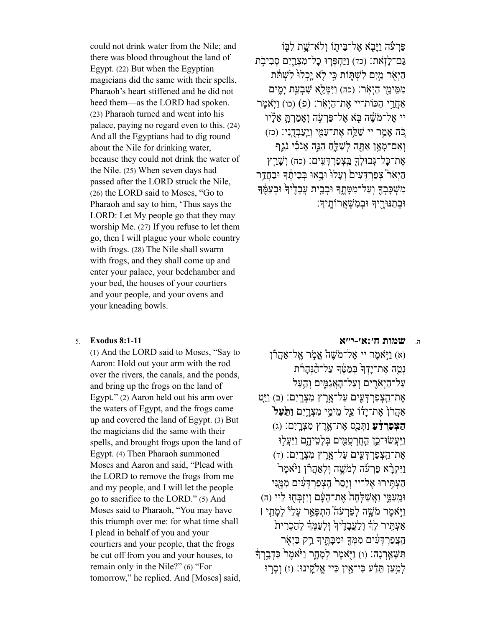could not drink water from the Nile; and there was blood throughout the land of Egypt. (22) But when the Egyptian magicians did the same with their spells, Pharaoh's heart stiffened and he did not heed them—as the LORD had spoken. (23) Pharaoh turned and went into his palace, paying no regard even to this. (24) And all the Egyptians had to dig round about the Nile for drinking water, because they could not drink the water of the Nile. (25) When seven days had passed after the LORD struck the Nile, (26) the LORD said to Moses, "Go to Pharaoh and say to him, 'Thus says the LORD: Let My people go that they may worship Me. (27) If you refuse to let them go, then I will plague your whole country with frogs. (28) The Nile shall swarm with frogs, and they shall come up and enter your palace, your bedchamber and your bed, the houses of your courtiers and your people, and your ovens and your kneading bowls.

#### 5. **Exodus 8:1-11**

(1) And the LORD said to Moses, "Say to Aaron: Hold out your arm with the rod over the rivers, the canals, and the ponds, and bring up the frogs on the land of Egypt." $(2)$  Aaron held out his arm over the waters of Egypt, and the frogs came up and covered the land of Egypt. (3) But the magicians did the same with their spells, and brought frogs upon the land of Egypt. (4) Then Pharaoh summoned Moses and Aaron and said, "Plead with the LORD to remove the frogs from me and my people, and I will let the people go to sacrifice to the LORD." (5) And Moses said to Pharaoh, "You may have this triumph over me: for what time shall I plead in behalf of you and your courtiers and your people, that the frogs be cut off from you and your houses, to remain only in the Nile?" (6) "For tomorrow," he replied. And [Moses] said,

פּרַעה וַיַּבְא אֱל־בֵּיתוֹ וְלֹא־שֵׁת לְבִּוֹ גַם־לַזְאת: (כד) וַיַּחִפְּרִוּ כָל־מְצָרֵיִם סְבִיבָת היאר מים לשתות כי לא יכלו לשתת ממימי היאר: (כה) ויִמּלֵא שִׁבְעַת ימִים אַחֲרֵי הַכּוֹת־יי אֱת־הַיְאָר: (פ) (כו) וַיְּאמֶר יי אֱל־מֹשֶׁה בָּא אֱל־פַּרְעָׂה וְאמֵרְתָּ אֱלִיו ְכֹּה אֲמֵר יי שֲׁלֵח אֶת־עַמֶּי וְיַעֲבְדֶנָי: (כז) וְאִם־מָאֵן אַתָּה לְשׁלֵח הָגֵּה אָנֹלִי נֹגֵף אֶת־כַּל־גִּבוּלְךָ בְּצָפַרְדָּעֵים: (כּה) וְשֲרֵץ הַיָאֹר צִפַרדִּעִים וְעלוֹ וּבְאוּ בִּבְיֹתֶךְ וּבְחָדֶר משכבד ועל־מטתד ובבית עבדיד ובעמד וּבְתַנּוּרֵיךְ וּבְמִשָׁאֲרוֹתֵיךָ:

#### שמות ח':א'-י"א  $\overline{a}$

(א) וַיִּאמֶר יי אֱל־מֹשֶׁה אֱמֹר אֱל־אַהֲרו נְמֵה אֶת־יַדְךָ בִּמַטֶּךְ עֲל־הַ֫נְהַרֹוֹ על־היארים ועל־האגמים והעל אֶת־הַצְפַרְדָּעִים עַל־אֱרֵץ מְצָרֵיִם: (ב) וַיֵּט אַהַרֹן אֵת־יַדֹו עַל מֵימֵי מִצְרֵיִם **וַתַּעַל**` הַצְפַרְדָּעַ וַתְּכַס אֶת־אֱרֶץ מִצְרֶיִם: (ג) ויעשו־כו החרטמים בלטיהם ויעלו אָת־הַצְפַרְדְעִים עַל־אֶרֶץ מִצְרֵיִם: (ד) וַיִּקְרָ֫א פַרְעֿה לְמֹשֵׁה וְלְאֲהָרוֹ וַיּּאמֶר הַעָתֵּירוּ אֱלֹ־יי וַיַסֵר הַצְפַרְדָּעָים מִמֵּנִּי וּמֵעַמֵּי וַאֲשָׁלְחָה אֶת־הִעֹּם וַיִזְבְּחָוּ לִיי (ה) וַיֹּאמֵר מֹשֶׁה לְפַרְעֹה הָתְפַּאֵר עַלְיֹּ לְמַתַּי | אַעְתֵּיר לְךָ וְלַעֲבָדֵיּךְ וְּלִעֲמָךְ לְהַכְרִית הצפרדעים מִמְךָ וּמִכָּתֵיךְ רָק בַּיְאָר תִּשַׁאֲרְנַה: (ו) וַיִּאמֶר לְמַחַר וַיּּאמֶר כִּדְבֵרְדָ לְמַעַן תֵּדָׁע כִּי־אֵין כַּיי אֱלֹקֵינוּ: (ז) וְסֻרוּ